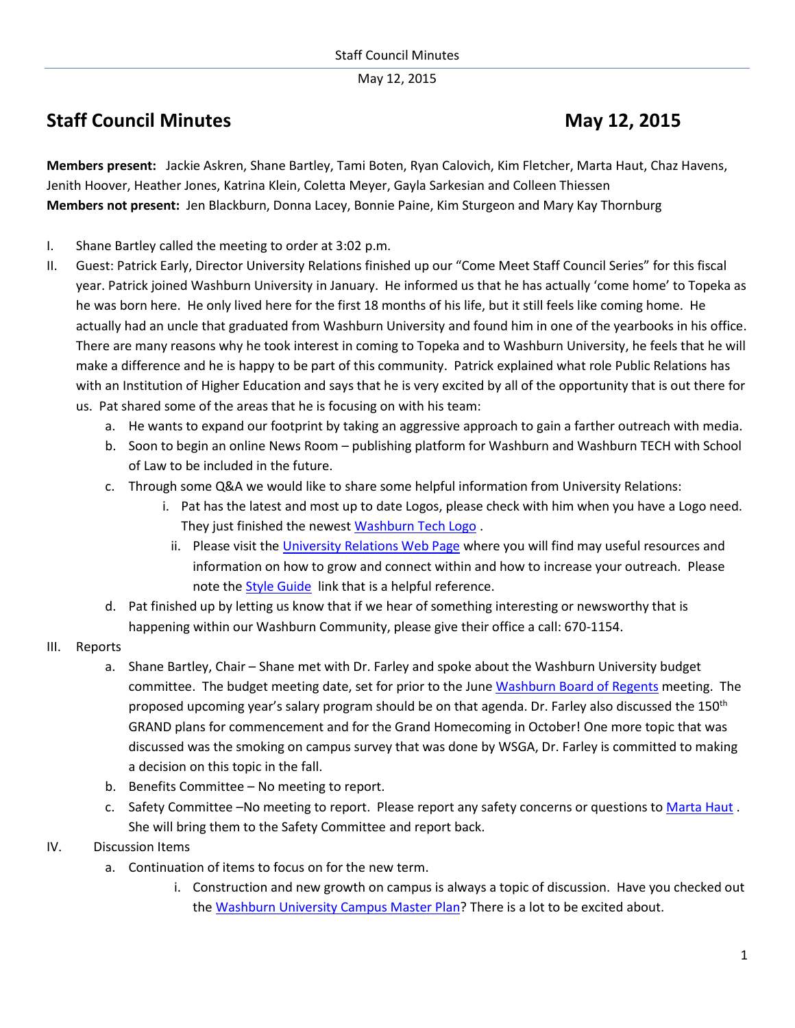May 12, 2015

## **Staff Council Minutes May** 12, 2015

**Members present:** Jackie Askren, Shane Bartley, Tami Boten, Ryan Calovich, Kim Fletcher, Marta Haut, Chaz Havens, Jenith Hoover, Heather Jones, Katrina Klein, Coletta Meyer, Gayla Sarkesian and Colleen Thiessen **Members not present:** Jen Blackburn, Donna Lacey, Bonnie Paine, Kim Sturgeon and Mary Kay Thornburg

- I. Shane Bartley called the meeting to order at 3:02 p.m.
- II. Guest: Patrick Early, Director University Relations finished up our "Come Meet Staff Council Series" for this fiscal year. Patrick joined Washburn University in January. He informed us that he has actually 'come home' to Topeka as he was born here. He only lived here for the first 18 months of his life, but it still feels like coming home. He actually had an uncle that graduated from Washburn University and found him in one of the yearbooks in his office. There are many reasons why he took interest in coming to Topeka and to Washburn University, he feels that he will make a difference and he is happy to be part of this community. Patrick explained what role Public Relations has with an Institution of Higher Education and says that he is very excited by all of the opportunity that is out there for us. Pat shared some of the areas that he is focusing on with his team:
	- a. He wants to expand our footprint by taking an aggressive approach to gain a farther outreach with media.
	- b. Soon to begin an online News Room publishing platform for Washburn and Washburn TECH with School of Law to be included in the future.
	- c. Through some Q&A we would like to share some helpful information from University Relations:
		- i. Pat has the latest and most up to date Logos, please check with him when you have a Logo need. They just finished the newest [Washburn Tech Logo](http://washburntech.edu/index.html) .
		- ii. Please visit th[e University Relations Web Page](http://www.washburn.edu/news/university-relations/index.html) where you will find may useful resources and information on how to grow and connect within and how to increase your outreach. Please note the [Style Guide](http://www.washburn.edu/news/university-relations/style-guide.html) link that is a helpful reference.
	- d. Pat finished up by letting us know that if we hear of something interesting or newsworthy that is happening within our Washburn Community, please give their office a call: 670-1154.
- III. Reports
	- a. Shane Bartley, Chair Shane met with Dr. Farley and spoke about the Washburn University budget committee. The budget meeting date, set for prior to the June Washburn [Board of Regents](http://www.washburn.edu/about/leadership/board-regents/index.html) meeting. The proposed upcoming year's salary program should be on that agenda. Dr. Farley also discussed the 150<sup>th</sup> GRAND plans for commencement and for the Grand Homecoming in October! One more topic that was discussed was the smoking on campus survey that was done by WSGA, Dr. Farley is committed to making a decision on this topic in the fall.
	- b. Benefits Committee No meeting to report.
	- c. Safety Committee –No meeting to report. Please report any safety concerns or questions to [Marta Haut](mailto:marta.haut@washburn.edu). She will bring them to the Safety Committee and report back.

## IV. Discussion Items

- a. Continuation of items to focus on for the new term.
	- i. Construction and new growth on campus is always a topic of discussion. Have you checked out the [Washburn University Campus Master Plan?](http://www.washburn.edu/about/construction/files/master-plan.pdf) There is a lot to be excited about.